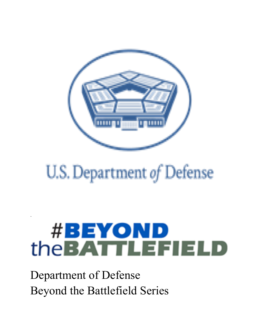

## U.S. Department of Defense

# **#BEYOND** the **BATTLEFIELD**

Department of Defense Beyond the Battlefield Series

.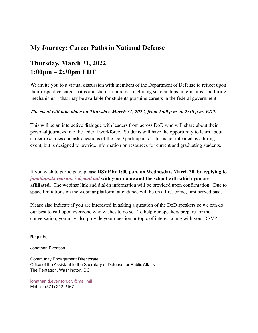#### **My Journey: Career Paths in National Defense**

### **Thursday, March 31, 2022 1:00pm – 2:30pm EDT**

We invite you to a virtual discussion with members of the Department of Defense to reflect upon their respective career paths and share resources – including scholarships, internships, and hiring mechanisms – that may be available for students pursuing careers in the federal government.

#### *The event will take place on Thursday, March 31, 2022, from 1:00 p.m. to 2:30 p.m. EDT.*

This will be an interactive dialogue with leaders from across DoD who will share about their personal journeys into the federal workforce. Students will have the opportunity to learn about career resources and ask questions of the DoD participants. This is not intended as a hiring event, but is designed to provide information on resources for current and graduating students.

------------------------------------------

If you wish to participate, please **RSVP by 1:00 p.m. on Wednesday, March 30, by replying to** *jonathan.d.evenson.civ@mail.mil* **with your name and the school with which you are affiliated.** The webinar link and dial-in information will be provided upon confirmation. Due to space limitations on the webinar platform, attendance will be on a first-come, first-served basis.

Please also indicate if you are interested in asking a question of the DoD speakers so we can do our best to call upon everyone who wishes to do so. To help our speakers prepare for the conversation, you may also provide your question or topic of interest along with your RSVP.

Regards,

Jonathan Evenson

Community Engagement Directorate Office of the Assistant to the Secretary of Defense for Public Affairs The Pentagon, Washington, DC

jonathan.d.evenson.civ@mail.mil Mobile: (571) 242-2167